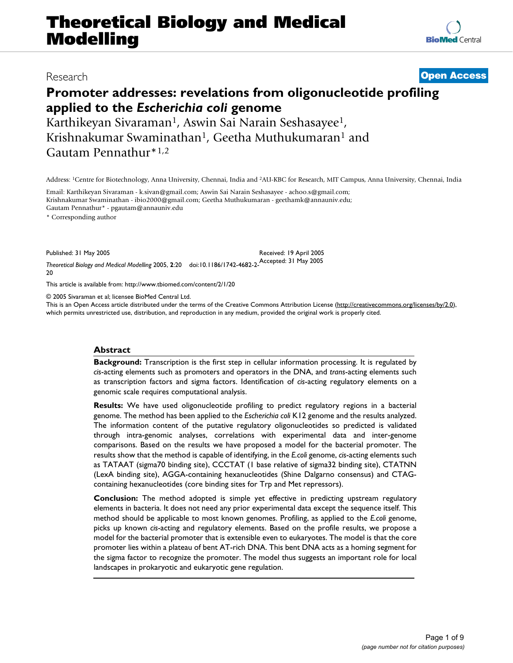# **Theoretical Biology and Medical Modelling**

## Research **[Open Access](http://www.biomedcentral.com/info/about/charter/)**

## **Promoter addresses: revelations from oligonucleotide profiling applied to the** *Escherichia coli* **genome**

Karthikeyan Sivaraman<sup>1</sup>, Aswin Sai Narain Seshasayee<sup>1</sup>, Krishnakumar Swaminathan<sup>1</sup>, Geetha Muthukumaran<sup>1</sup> and Gautam Pennathur\*1,2

Address: 1Centre for Biotechnology, Anna University, Chennai, India and 2AU-KBC for Research, MIT Campus, Anna University, Chennai, India

Email: Karthikeyan Sivaraman - k.sivan@gmail.com; Aswin Sai Narain Seshasayee - achoo.s@gmail.com; Krishnakumar Swaminathan - ibio2000@gmail.com; Geetha Muthukumaran - geethamk@annauniv.edu; Gautam Pennathur\* - pgautam@annauniv.edu

\* Corresponding author

Published: 31 May 2005

*Theoretical Biology and Medical Modelling* 2005, **2**:20 doi:10.1186/1742-4682-2- Accepted: 31 May 2005 20

[This article is available from: http://www.tbiomed.com/content/2/1/20](http://www.tbiomed.com/content/2/1/20)

© 2005 Sivaraman et al; licensee BioMed Central Ltd.

This is an Open Access article distributed under the terms of the Creative Commons Attribution License [\(http://creativecommons.org/licenses/by/2.0\)](http://creativecommons.org/licenses/by/2.0), which permits unrestricted use, distribution, and reproduction in any medium, provided the original work is properly cited.

Received: 19 April 2005

## **Abstract**

**Background:** Transcription is the first step in cellular information processing. It is regulated by *cis*-acting elements such as promoters and operators in the DNA, and *trans*-acting elements such as transcription factors and sigma factors. Identification of *cis*-acting regulatory elements on a genomic scale requires computational analysis.

**Results:** We have used oligonucleotide profiling to predict regulatory regions in a bacterial genome. The method has been applied to the *Escherichia coli* K12 genome and the results analyzed. The information content of the putative regulatory oligonucleotides so predicted is validated through intra-genomic analyses, correlations with experimental data and inter-genome comparisons. Based on the results we have proposed a model for the bacterial promoter. The results show that the method is capable of identifying, in the *E.coli* genome, *cis*-acting elements such as TATAAT (sigma70 binding site), CCCTAT (1 base relative of sigma32 binding site), CTATNN (LexA binding site), AGGA-containing hexanucleotides (Shine Dalgarno consensus) and CTAGcontaining hexanucleotides (core binding sites for Trp and Met repressors).

**Conclusion:** The method adopted is simple yet effective in predicting upstream regulatory elements in bacteria. It does not need any prior experimental data except the sequence itself. This method should be applicable to most known genomes. Profiling, as applied to the *E.coli* genome, picks up known *cis*-acting and regulatory elements. Based on the profile results, we propose a model for the bacterial promoter that is extensible even to eukaryotes. The model is that the core promoter lies within a plateau of bent AT-rich DNA. This bent DNA acts as a homing segment for the sigma factor to recognize the promoter. The model thus suggests an important role for local landscapes in prokaryotic and eukaryotic gene regulation.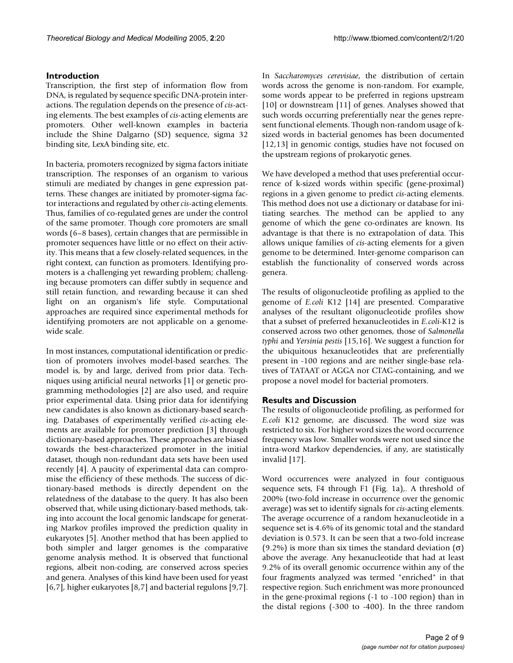## **Introduction**

Transcription, the first step of information flow from DNA, is regulated by sequence specific DNA-protein interactions. The regulation depends on the presence of *cis*-acting elements. The best examples of *cis*-acting elements are promoters. Other well-known examples in bacteria include the Shine Dalgarno (SD) sequence, sigma 32 binding site, LexA binding site, etc.

In bacteria, promoters recognized by sigma factors initiate transcription. The responses of an organism to various stimuli are mediated by changes in gene expression patterns. These changes are initiated by promoter-sigma factor interactions and regulated by other *cis*-acting elements. Thus, families of co-regulated genes are under the control of the same promoter. Though core promoters are small words (6–8 bases), certain changes that are permissible in promoter sequences have little or no effect on their activity. This means that a few closely-related sequences, in the right context, can function as promoters. Identifying promoters is a challenging yet rewarding problem; challenging because promoters can differ subtly in sequence and still retain function, and rewarding because it can shed light on an organism's life style. Computational approaches are required since experimental methods for identifying promoters are not applicable on a genomewide scale.

In most instances, computational identification or prediction of promoters involves model-based searches. The model is, by and large, derived from prior data. Techniques using artificial neural networks [1] or genetic programming methodologies [2] are also used, and require prior experimental data. Using prior data for identifying new candidates is also known as dictionary-based searching. Databases of experimentally verified *cis*-acting elements are available for promoter prediction [3] through dictionary-based approaches. These approaches are biased towards the best-characterized promoter in the initial dataset, though non-redundant data sets have been used recently [4]. A paucity of experimental data can compromise the efficiency of these methods. The success of dictionary-based methods is directly dependent on the relatedness of the database to the query. It has also been observed that, while using dictionary-based methods, taking into account the local genomic landscape for generating Markov profiles improved the prediction quality in eukaryotes [5]. Another method that has been applied to both simpler and larger genomes is the comparative genome analysis method. It is observed that functional regions, albeit non-coding, are conserved across species and genera. Analyses of this kind have been used for yeast [6,7], higher eukaryotes [8,7] and bacterial regulons [9,7].

In *Saccharomyces cerevisiae*, the distribution of certain words across the genome is non-random. For example, some words appear to be preferred in regions upstream [10] or downstream [11] of genes. Analyses showed that such words occurring preferentially near the genes represent functional elements. Though non-random usage of ksized words in bacterial genomes has been documented [12,13] in genomic contigs, studies have not focused on the upstream regions of prokaryotic genes.

We have developed a method that uses preferential occurrence of k-sized words within specific (gene-proximal) regions in a given genome to predict *cis-*acting elements. This method does not use a dictionary or database for initiating searches. The method can be applied to any genome of which the gene co-ordinates are known. Its advantage is that there is no extrapolation of data. This allows unique families of *cis*-acting elements for a given genome to be determined. Inter-genome comparison can establish the functionality of conserved words across genera.

The results of oligonucleotide profiling as applied to the genome of *E.coli* K12 [14] are presented. Comparative analyses of the resultant oligonucleotide profiles show that a subset of preferred hexanucleotides in *E.coli*-K12 is conserved across two other genomes, those of *Salmonella typhi* and *Yersinia pestis* [15,16]. We suggest a function for the ubiquitous hexanucleotides that are preferentially present in -100 regions and are neither single-base relatives of TATAAT or AGGA nor CTAG-containing, and we propose a novel model for bacterial promoters.

## **Results and Discussion**

The results of oligonucleotide profiling, as performed for *E.coli* K12 genome, are discussed. The word size was restricted to six. For higher word sizes the word occurrence frequency was low. Smaller words were not used since the intra-word Markov dependencies, if any, are statistically invalid [17].

Word occurrences were analyzed in four contiguous sequence sets, F4 through F1 (Fig. 1a),. A threshold of 200% (two-fold increase in occurrence over the genomic average) was set to identify signals for *cis*-acting elements. The average occurrence of a random hexanucleotide in a sequence set is 4.6% of its genomic total and the standard deviation is 0.573. It can be seen that a two-fold increase (9.2%) is more than six times the standard deviation (σ) above the average. Any hexanucleotide that had at least 9.2% of its overall genomic occurrence within any of the four fragments analyzed was termed "enriched" in that respective region. Such enrichment was more pronounced in the gene-proximal regions (-1 to -100 region) than in the distal regions (-300 to -400). In the three random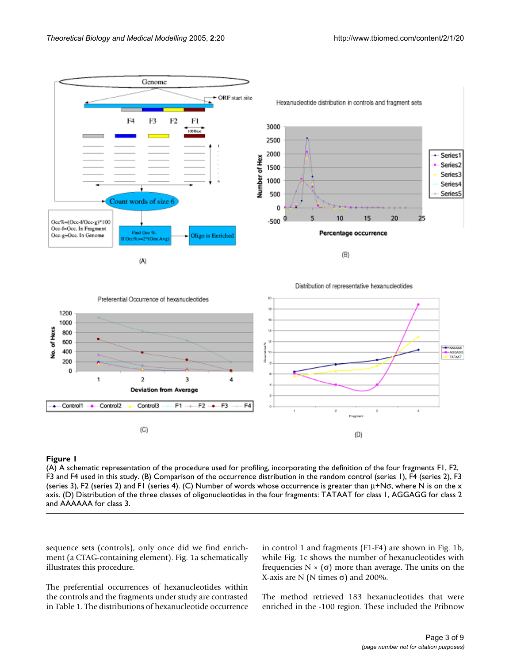

#### (A) A schematic representation of the proced F3 and F4 used in this study **Figure 1** ure used for profiling, incorporating the definition of the four fragments F1, F2,

(A) A schematic representation of the procedure used for profiling, incorporating the definition of the four fragments F1, F2, F3 and F4 used in this study. (B) Comparison of the occurrence distribution in the random control (series 1), F4 (series 2), F3 (series 3), F2 (series 2) and F1 (series 4). (C) Number of words whose occurrence is greater than  $\mu + N\sigma$ , where N is on the x axis. (D) Distribution of the three classes of oligonucleotides in the four fragments: TATAAT for class 1, AGGAGG for class 2 and AAAAAA for class 3.

sequence sets (controls), only once did we find enrichment (a CTAG-containing element). Fig. 1a schematically illustrates this procedure.

The preferential occurrences of hexanucleotides within the controls and the fragments under study are contrasted in Table [1](#page-3-0). The distributions of hexanucleotide occurrence in control 1 and fragments (F1-F4) are shown in Fig. 1b, while Fig. 1c shows the number of hexanucleotides with frequencies  $N \times (\sigma)$  more than average. The units on the X-axis are N (N times  $\sigma$ ) and 200%.

The method retrieved 183 hexanucleotides that were enriched in the -100 region. These included the Pribnow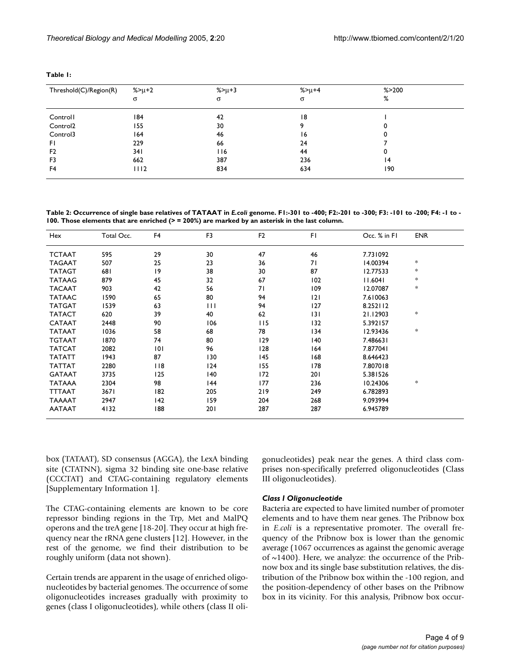| Threshold(C)/Region(R) | %>µ+2<br>$\sigma$ | %> $\mu$ +3<br>$\sigma$ | % $>u+4$<br>$\sigma$ | % > 200<br>% |  |  |
|------------------------|-------------------|-------------------------|----------------------|--------------|--|--|
| Controll               | 184               | 42                      | 18                   |              |  |  |
| Control <sub>2</sub>   | 155               | 30                      |                      |              |  |  |
| Control3               | 164               | 46                      | 16                   |              |  |  |
| FΙ                     | 229               | 66                      | 24                   |              |  |  |
| F <sub>2</sub>         | 341               | l 16                    | 44                   | 0            |  |  |
| F3                     | 662               | 387                     | 236                  | 4            |  |  |
| F <sub>4</sub>         | 1112              | 834                     | 634                  | 190          |  |  |

<span id="page-3-0"></span>**Table 1:** 

<span id="page-3-1"></span>**Table 2: Occurrence of single base relatives of TATAAT in** *E.coli* **genome. F1:-301 to -400; F2:-201 to -300; F3: -101 to -200; F4: -1 to - 100. Those elements that are enriched (> = 200%) are marked by an asterisk in the last column.**

| Hex           | Total Occ. | F <sub>4</sub> | F <sub>3</sub> | F <sub>2</sub> | FI. | Occ. % in FI | <b>ENR</b> |
|---------------|------------|----------------|----------------|----------------|-----|--------------|------------|
| <b>TCTAAT</b> | 595        | 29             | 30             | 47             | 46  | 7.731092     |            |
| <b>TAGAAT</b> | 507        | 25             | 23             | 36             | 71  | 14.00394     | *          |
| <b>TATAGT</b> | 681        | 9              | 38             | 30             | 87  | 12.77533     | *          |
| <b>TATAAG</b> | 879        | 45             | 32             | 67             | 102 | 11.6041      | $\ast$     |
| <b>TACAAT</b> | 903        | 42             | 56             | 71             | 109 | 12.07087     | $*$        |
| <b>TATAAC</b> | 1590       | 65             | 80             | 94             | 2   | 7.610063     |            |
| <b>TATGAT</b> | 1539       | 63             | Ш              | 94             | 127 | 8.252112     |            |
| <b>TATACT</b> | 620        | 39             | 40             | 62             | 3   | 21.12903     | *          |
| <b>CATAAT</b> | 2448       | 90             | 106            | 115            | 132 | 5.392157     |            |
| <b>TATAAT</b> | 1036       | 58             | 68             | 78             | 134 | 12.93436     | *          |
| <b>TGTAAT</b> | 1870       | 74             | 80             | 129            | 140 | 7.486631     |            |
| <b>TATCAT</b> | 2082       | 0              | 96             | 128            | 164 | 7.877041     |            |
| <b>TATATT</b> | 1943       | 87             | 130            | 145            | 168 | 8.646423     |            |
| <b>TATTAT</b> | 2280       | <b>118</b>     | 124            | 155            | 178 | 7.807018     |            |
| <b>GATAAT</b> | 3735       | 125            | 140            | 172            | 201 | 5.381526     |            |
| <b>TATAAA</b> | 2304       | 98             | 44             | 177            | 236 | 10.24306     | *          |
| <b>TTTAAT</b> | 3671       | 182            | 205            | 219            | 249 | 6.782893     |            |
| <b>TAAAAT</b> | 2947       | 142            | 159            | 204            | 268 | 9.093994     |            |
| <b>AATAAT</b> | 4132       | 188            | 201            | 287            | 287 | 6.945789     |            |

box (TATAAT), SD consensus (AGGA), the LexA binding site (CTATNN), sigma 32 binding site one-base relative (CCCTAT) and CTAG-containing regulatory elements [Supplementary Information 1].

The CTAG-containing elements are known to be core repressor binding regions in the Trp, Met and MalPQ operons and the treA gene [18-20]. They occur at high frequency near the rRNA gene clusters [12]. However, in the rest of the genome, we find their distribution to be roughly uniform (data not shown).

Certain trends are apparent in the usage of enriched oligonucleotides by bacterial genomes. The occurrence of some oligonucleotides increases gradually with proximity to genes (class I oligonucleotides), while others (class II oligonucleotides) peak near the genes. A third class comprises non-specifically preferred oligonucleotides (Class III oligonucleotides).

#### *Class I Oligonucleotide*

Bacteria are expected to have limited number of promoter elements and to have them near genes. The Pribnow box in *E.coli* is a representative promoter. The overall frequency of the Pribnow box is lower than the genomic average (1067 occurrences as against the genomic average of  $\sim$ 1400). Here, we analyze: the occurrence of the Pribnow box and its single base substitution relatives, the distribution of the Pribnow box within the -100 region, and the position-dependency of other bases on the Pribnow box in its vicinity. For this analysis, Pribnow box occur-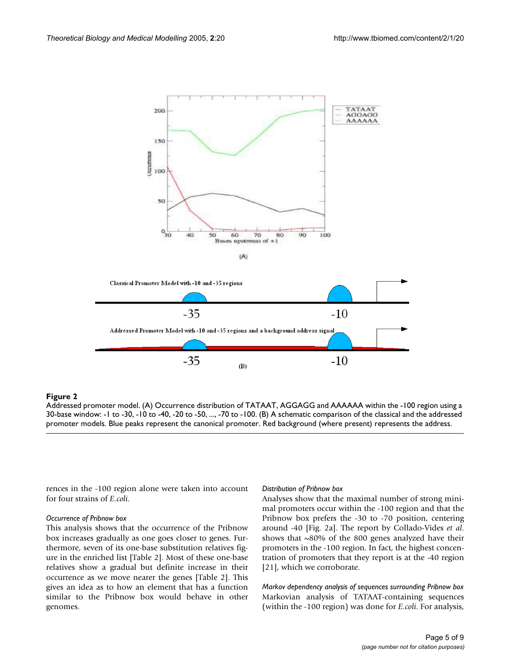

## **Figure 2**

Addressed promoter model. (A) Occurrence distribution of TATAAT, AGGAGG and AAAAAA within the -100 region using a 30-base window: -1 to -30, -10 to -40, -20 to -50, ..., -70 to -100. (B) A schematic comparison of the classical and the addressed promoter models. Blue peaks represent the canonical promoter. Red background (where present) represents the address.

rences in the -100 region alone were taken into account for four strains of *E.coli*.

#### *Occurrence of Pribnow box*

This analysis shows that the occurrence of the Pribnow box increases gradually as one goes closer to genes. Furthermore, seven of its one-base substitution relatives figure in the enriched list [Table [2](#page-3-1)]. Most of these one-base relatives show a gradual but definite increase in their occurrence as we move nearer the genes [Table [2\]](#page-3-1). This gives an idea as to how an element that has a function similar to the Pribnow box would behave in other genomes.

#### *Distribution of Pribnow box*

Analyses show that the maximal number of strong minimal promoters occur within the -100 region and that the Pribnow box prefers the -30 to -70 position, centering around -40 [Fig. 2a]. The report by Collado-Vides *et al*. shows that  $~\sim$ 80% of the 800 genes analyzed have their promoters in the -100 region. In fact, the highest concentration of promoters that they report is at the -40 region [21], which we corroborate.

*Markov dependency analysis of sequences surrounding Pribnow box* Markovian analysis of TATAAT-containing sequences (within the -100 region) was done for *E.coli*. For analysis,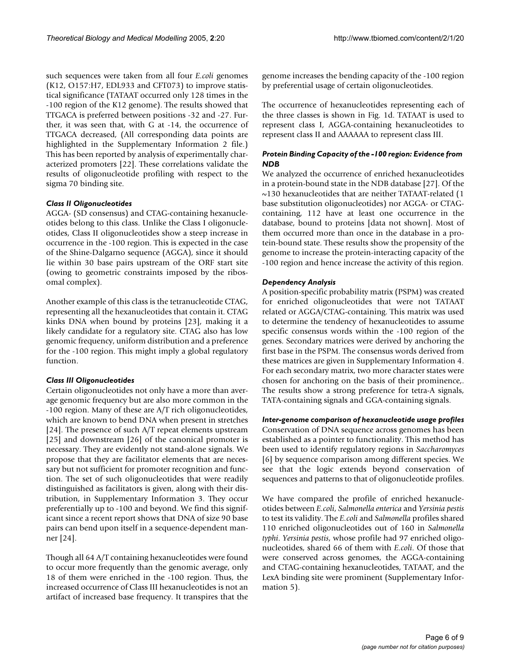such sequences were taken from all four *E.coli* genomes (K12, O157:H7, EDL933 and CFT073) to improve statistical significance (TATAAT occurred only 128 times in the -100 region of the K12 genome). The results showed that TTGACA is preferred between positions -32 and -27. Further, it was seen that, with G at -14, the occurrence of TTGACA decreased, (All corresponding data points are highlighted in the Supplementary Information 2 file.) This has been reported by analysis of experimentally characterized promoters [22]. These correlations validate the results of oligonucleotide profiling with respect to the sigma 70 binding site.

## *Class II Oligonucleotides*

AGGA- (SD consensus) and CTAG-containing hexanucleotides belong to this class. Unlike the Class I oligonucleotides, Class II oligonucleotides show a steep increase in occurrence in the -100 region. This is expected in the case of the Shine-Dalgarno sequence (AGGA), since it should lie within 30 base pairs upstream of the ORF start site (owing to geometric constraints imposed by the ribosomal complex).

Another example of this class is the tetranucleotide CTAG, representing all the hexanucleotides that contain it. CTAG kinks DNA when bound by proteins [23], making it a likely candidate for a regulatory site. CTAG also has low genomic frequency, uniform distribution and a preference for the -100 region. This might imply a global regulatory function.

## *Class III Oligonucleotides*

Certain oligonucleotides not only have a more than average genomic frequency but are also more common in the -100 region. Many of these are A/T rich oligonucleotides, which are known to bend DNA when present in stretches [24]. The presence of such A/T repeat elements upstream [25] and downstream [26] of the canonical promoter is necessary. They are evidently not stand-alone signals. We propose that they are facilitator elements that are necessary but not sufficient for promoter recognition and function. The set of such oligonucleotides that were readily distinguished as facilitators is given, along with their distribution, in Supplementary Information 3. They occur preferentially up to -100 and beyond. We find this significant since a recent report shows that DNA of size 90 base pairs can bend upon itself in a sequence-dependent manner [24].

Though all 64 A/T containing hexanucleotides were found to occur more frequently than the genomic average, only 18 of them were enriched in the -100 region. Thus, the increased occurrence of Class III hexanucleotides is not an artifact of increased base frequency. It transpires that the genome increases the bending capacity of the -100 region by preferential usage of certain oligonucleotides.

The occurrence of hexanucleotides representing each of the three classes is shown in Fig. 1d. TATAAT is used to represent class I, AGGA-containing hexanucleotides to represent class II and AAAAAA to represent class III.

## *Protein Binding Capacity of the -100 region: Evidence from NDB*

We analyzed the occurrence of enriched hexanucleotides in a protein-bound state in the NDB database [27]. Of the ~130 hexanucleotides that are neither TATAAT-related (1 base substitution oligonucleotides) nor AGGA- or CTAGcontaining, 112 have at least one occurrence in the database, bound to proteins [data not shown]. Most of them occurred more than once in the database in a protein-bound state. These results show the propensity of the genome to increase the protein-interacting capacity of the -100 region and hence increase the activity of this region.

## *Dependency Analysis*

A position-specific probability matrix (PSPM) was created for enriched oligonucleotides that were not TATAAT related or AGGA/CTAG-containing. This matrix was used to determine the tendency of hexanucleotides to assume specific consensus words within the -100 region of the genes. Secondary matrices were derived by anchoring the first base in the PSPM. The consensus words derived from these matrices are given in Supplementary Information 4. For each secondary matrix, two more character states were chosen for anchoring on the basis of their prominence,. The results show a strong preference for tetra-A signals, TATA-containing signals and GGA-containing signals.

#### *Inter-genome comparison of hexanucleotide usage profiles*

Conservation of DNA sequence across genomes has been established as a pointer to functionality. This method has been used to identify regulatory regions in *Saccharomyces* [6] by sequence comparison among different species. We see that the logic extends beyond conservation of sequences and patterns to that of oligonucleotide profiles.

We have compared the profile of enriched hexanucleotides between *E.coli*, *Salmonella enterica* and *Yersinia pestis* to test its validity. The *E.coli* and *Salmonella* profiles shared 110 enriched oligonucleotides out of 160 in *Salmonella typhi*. *Yersinia pestis*, whose profile had 97 enriched oligonucleotides, shared 66 of them with *E.coli*. Of those that were conserved across genomes, the AGGA-containing and CTAG-containing hexanucleotides, TATAAT, and the LexA binding site were prominent (Supplementary Information 5).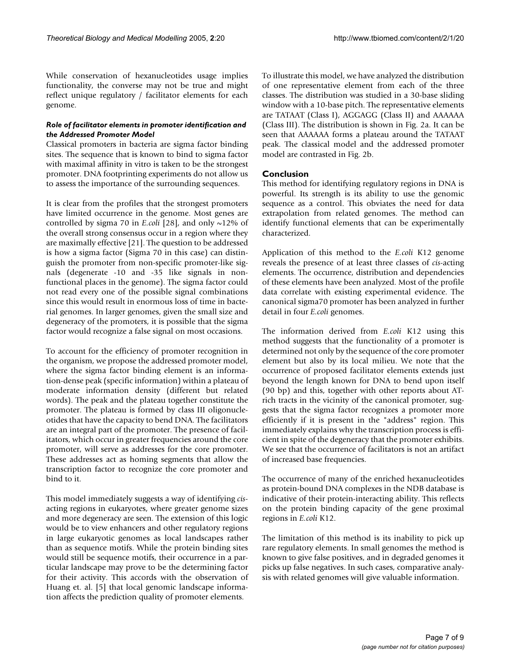While conservation of hexanucleotides usage implies functionality, the converse may not be true and might reflect unique regulatory / facilitator elements for each genome.

### *Role of facilitator elements in promoter identification and the Addressed Promoter Model*

Classical promoters in bacteria are sigma factor binding sites. The sequence that is known to bind to sigma factor with maximal affinity in vitro is taken to be the strongest promoter. DNA footprinting experiments do not allow us to assess the importance of the surrounding sequences.

It is clear from the profiles that the strongest promoters have limited occurrence in the genome. Most genes are controlled by sigma 70 in *E.coli* [28], and only ~12% of the overall strong consensus occur in a region where they are maximally effective [21]. The question to be addressed is how a sigma factor (Sigma 70 in this case) can distinguish the promoter from non-specific promoter-like signals (degenerate -10 and -35 like signals in nonfunctional places in the genome). The sigma factor could not read every one of the possible signal combinations since this would result in enormous loss of time in bacterial genomes. In larger genomes, given the small size and degeneracy of the promoters, it is possible that the sigma factor would recognize a false signal on most occasions.

To account for the efficiency of promoter recognition in the organism, we propose the addressed promoter model, where the sigma factor binding element is an information-dense peak (specific information) within a plateau of moderate information density (different but related words). The peak and the plateau together constitute the promoter. The plateau is formed by class III oligonucleotides that have the capacity to bend DNA. The facilitators are an integral part of the promoter. The presence of facilitators, which occur in greater frequencies around the core promoter, will serve as addresses for the core promoter. These addresses act as homing segments that allow the transcription factor to recognize the core promoter and bind to it.

This model immediately suggests a way of identifying *cis*acting regions in eukaryotes, where greater genome sizes and more degeneracy are seen. The extension of this logic would be to view enhancers and other regulatory regions in large eukaryotic genomes as local landscapes rather than as sequence motifs. While the protein binding sites would still be sequence motifs, their occurrence in a particular landscape may prove to be the determining factor for their activity. This accords with the observation of Huang et. al. [5] that local genomic landscape information affects the prediction quality of promoter elements.

To illustrate this model, we have analyzed the distribution of one representative element from each of the three classes. The distribution was studied in a 30-base sliding window with a 10-base pitch. The representative elements are TATAAT (Class I), AGGAGG (Class II) and AAAAAA (Class III). The distribution is shown in Fig. 2a. It can be seen that AAAAAA forms a plateau around the TATAAT peak. The classical model and the addressed promoter model are contrasted in Fig. 2b.

## **Conclusion**

This method for identifying regulatory regions in DNA is powerful. Its strength is its ability to use the genomic sequence as a control. This obviates the need for data extrapolation from related genomes. The method can identify functional elements that can be experimentally characterized.

Application of this method to the *E.coli* K12 genome reveals the presence of at least three classes of *cis*-acting elements. The occurrence, distribution and dependencies of these elements have been analyzed. Most of the profile data correlate with existing experimental evidence. The canonical sigma70 promoter has been analyzed in further detail in four *E.coli* genomes.

The information derived from *E.coli* K12 using this method suggests that the functionality of a promoter is determined not only by the sequence of the core promoter element but also by its local milieu. We note that the occurrence of proposed facilitator elements extends just beyond the length known for DNA to bend upon itself (90 bp) and this, together with other reports about ATrich tracts in the vicinity of the canonical promoter, suggests that the sigma factor recognizes a promoter more efficiently if it is present in the "address" region. This immediately explains why the transcription process is efficient in spite of the degeneracy that the promoter exhibits. We see that the occurrence of facilitators is not an artifact of increased base frequencies.

The occurrence of many of the enriched hexanucleotides as protein-bound DNA complexes in the NDB database is indicative of their protein-interacting ability. This reflects on the protein binding capacity of the gene proximal regions in *E.coli* K12.

The limitation of this method is its inability to pick up rare regulatory elements. In small genomes the method is known to give false positives, and in degraded genomes it picks up false negatives. In such cases, comparative analysis with related genomes will give valuable information.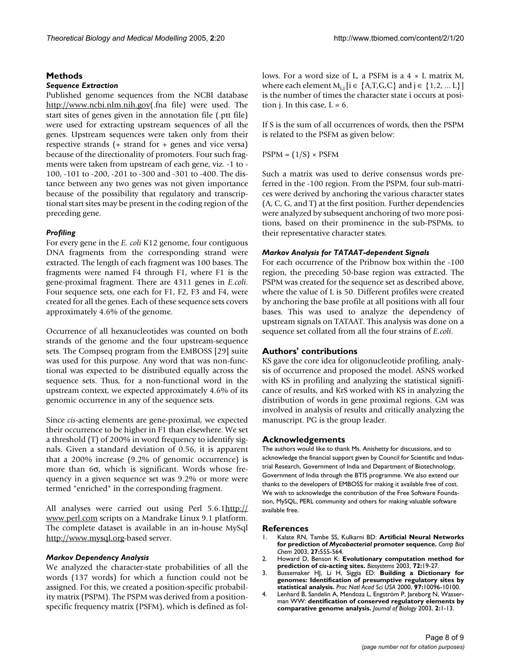## **Methods**

#### *Sequence Extraction*

Published genome sequences from the NCBI database <http://www.ncbi.nlm.nih.gov>(.fna file) were used. The start sites of genes given in the annotation file (.ptt file) were used for extracting upstream sequences of all the genes. Upstream sequences were taken only from their respective strands (+ strand for + genes and vice versa) because of the directionality of promoters. Four such fragments were taken from upstream of each gene, viz. -1 to - 100, -101 to -200, -201 to -300 and -301 to -400. The distance between any two genes was not given importance because of the possibility that regulatory and transcriptional start sites may be present in the coding region of the preceding gene.

#### *Profiling*

For every gene in the *E. coli* K12 genome, four contiguous DNA fragments from the corresponding strand were extracted. The length of each fragment was 100 bases. The fragments were named F4 through F1, where F1 is the gene-proximal fragment. There are 4311 genes in *E.coli*. Four sequence sets, one each for F1, F2, F3 and F4, were created for all the genes. Each of these sequence sets covers approximately 4.6% of the genome.

Occurrence of all hexanucleotides was counted on both strands of the genome and the four upstream-sequence sets. The Compseq program from the EMBOSS [29] suite was used for this purpose. Any word that was non-functional was expected to be distributed equally across the sequence sets. Thus, for a non-functional word in the upstream context, we expected approximately 4.6% of its genomic occurrence in any of the sequence sets.

Since *cis*-acting elements are gene-proximal, we expected their occurrence to be higher in F1 than elsewhere. We set a threshold (T) of 200% in word frequency to identify signals. Given a standard deviation of 0.56, it is apparent that a 200% increase (9.2% of genomic occurrence) is more than 6σ, which is significant. Words whose frequency in a given sequence set was 9.2% or more were termed "enriched" in the corresponding fragment.

All analyses were carried out using Perl 5.6.1[http://](http://www.perl.com) [www.perl.com](http://www.perl.com) scripts on a Mandrake Linux 9.1 platform. The complete dataset is available in an in-house MySql <http://www.mysql.org>-based server.

#### *Markov Dependency Analysis*

We analyzed the character-state probabilities of all the words (137 words) for which a function could not be assigned. For this, we created a position-specific probability matrix (PSPM). The PSPM was derived from a positionspecific frequency matrix (PSFM), which is defined as follows. For a word size of L, a PSFM is a  $4 \times L$  matrix M, where each element  $M_{i,j}$  [i  $\in \{A,T,G,C\}$  and j  $\in \{1,2,...L\}$ ] is the number of times the character state i occurs at position j. In this case,  $L = 6$ .

If S is the sum of all occurrences of words, then the PSPM is related to the PSFM as given below:

 $PSPM = (1/S) \times PSFM$ 

Such a matrix was used to derive consensus words preferred in the -100 region. From the PSPM, four sub-matrices were derived by anchoring the various character states (A, C, G, and T) at the first position. Further dependencies were analyzed by subsequent anchoring of two more positions, based on their prominence in the sub-PSPMs, to their representative character states.

#### *Markov Analysis for TATAAT-dependent Signals*

For each occurrence of the Pribnow box within the -100 region, the preceding 50-base region was extracted. The PSPM was created for the sequence set as described above, where the value of L is 50. Different profiles were created by anchoring the base profile at all positions with all four bases. This was used to analyze the dependency of upstream signals on TATAAT. This analysis was done on a sequence set collated from all the four strains of *E.coli*.

#### **Authors' contributions**

KS gave the core idea for oligonucleotide profiling, analysis of occurrence and proposed the model. ASNS worked with KS in profiling and analyzing the statistical significance of results, and KrS worked with KS in analyzing the distribution of words in gene proximal regions. GM was involved in analysis of results and critically analyzing the manuscript. PG is the group leader.

#### **Acknowledgements**

The authors would like to thank Ms. Anishetty for discussions, and to acknowledge the financial support given by Council for Scientific and Industrial Research, Government of India and Department of Biotechnology, Government of India through the BTIS programme. We also extend our thanks to the developers of EMBOSS for making it available free of cost. We wish to acknowledge the contribution of the Free Software Foundation, MySQL, PERL community and others for making valuable software available free.

#### **References**

- 1. Kalate RN, Tambe SS, Kulkarni BD: **Artificial Neural Networks for prediction of** *Mycobacterial* **promoter sequence.** *Comp Biol Chem* 2003, **27:**555-564.
- 2. Howard D, Benson K: **Evolutionary computation method for prediction of** *cis***[-acting sites.](http://www.ncbi.nlm.nih.gov/entrez/query.fcgi?cmd=Retrieve&db=PubMed&dopt=Abstract&list_uids=14642656)** *Biosystems* 2003, **72:**19-27.
- 3. Bussemaker HJ, Li H, Siggia ED: **[Building a Dictionary for](http://www.ncbi.nlm.nih.gov/entrez/query.fcgi?cmd=Retrieve&db=PubMed&dopt=Abstract&list_uids=10944202) [genomes: Identification of presumptive regulatory sites by](http://www.ncbi.nlm.nih.gov/entrez/query.fcgi?cmd=Retrieve&db=PubMed&dopt=Abstract&list_uids=10944202) [statistical analysis.](http://www.ncbi.nlm.nih.gov/entrez/query.fcgi?cmd=Retrieve&db=PubMed&dopt=Abstract&list_uids=10944202)** *Proc Natl Acad Sci USA* 2000, **97:**10096-10100.
- Lenhard B, Sandelin A, Mendoza L, Engström P, Jareborg N, Wasserman WW: **dentification of conserved regulatory elements by comparative genome analysis.** *Journal of Biology* 2003, **2:**1-13.